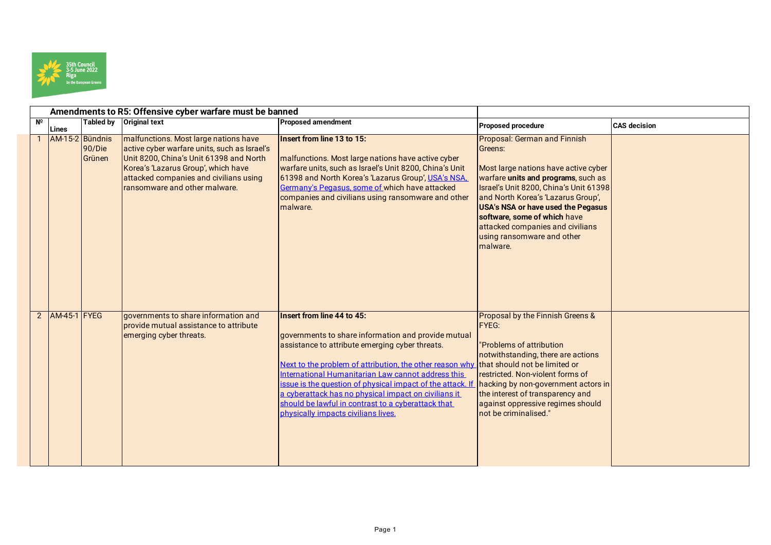

|                |                     |                  | Amendments to R5: Offensive cyber warfare must be banned                                                                                                                                                                                           |                                                                                                                                                                                                                                                                                                                                                                                                                                                                                                        |                                                                                                                                                                                                                                                                                                                                                            |                     |
|----------------|---------------------|------------------|----------------------------------------------------------------------------------------------------------------------------------------------------------------------------------------------------------------------------------------------------|--------------------------------------------------------------------------------------------------------------------------------------------------------------------------------------------------------------------------------------------------------------------------------------------------------------------------------------------------------------------------------------------------------------------------------------------------------------------------------------------------------|------------------------------------------------------------------------------------------------------------------------------------------------------------------------------------------------------------------------------------------------------------------------------------------------------------------------------------------------------------|---------------------|
| $N^{\circ}$    | Lines               |                  | Tabled by Original text                                                                                                                                                                                                                            | <b>Proposed amendment</b>                                                                                                                                                                                                                                                                                                                                                                                                                                                                              | Proposed procedure                                                                                                                                                                                                                                                                                                                                         | <b>CAS</b> decision |
|                | AM-15-2 Bündnis     | 90/Die<br>Grünen | malfunctions. Most large nations have<br>active cyber warfare units, such as Israel's<br>Unit 8200, China's Unit 61398 and North<br>Korea's 'Lazarus Group', which have<br>attacked companies and civilians using<br>ransomware and other malware. | Insert from line 13 to 15:<br>malfunctions. Most large nations have active cyber<br>warfare units, such as Israel's Unit 8200, China's Unit<br>61398 and North Korea's 'Lazarus Group', USA's NSA.<br>Germany's Pegasus, some of which have attacked<br>companies and civilians using ransomware and other<br>malware.                                                                                                                                                                                 | Proposal: German and Finnish<br>Greens:<br>Most large nations have active cyber<br>warfare units and programs, such as<br>Israel's Unit 8200, China's Unit 61398<br>and North Korea's 'Lazarus Group',<br>USA's NSA or have used the Pegasus<br>software, some of which have<br>attacked companies and civilians<br>using ransomware and other<br>malware. |                     |
| $\overline{2}$ | <b>AM-45-1 FYEG</b> |                  | governments to share information and<br>provide mutual assistance to attribute<br>emerging cyber threats.                                                                                                                                          | Insert from line 44 to 45:<br>governments to share information and provide mutual<br>assistance to attribute emerging cyber threats.<br>Next to the problem of attribution, the other reason why that should not be limited or<br>International Humanitarian Law cannot address this<br>ssue is the question of physical impact of the attack. If<br>a cyberattack has no physical impact on civilians it<br>should be lawful in contrast to a cyberattack that<br>physically impacts civilians lives. | Proposal by the Finnish Greens &<br><b>FYEG:</b><br>"Problems of attribution<br>notwithstanding, there are actions<br>restricted. Non-violent forms of<br>hacking by non-government actors in<br>the interest of transparency and<br>against oppressive regimes should<br>not be criminalised."                                                            |                     |